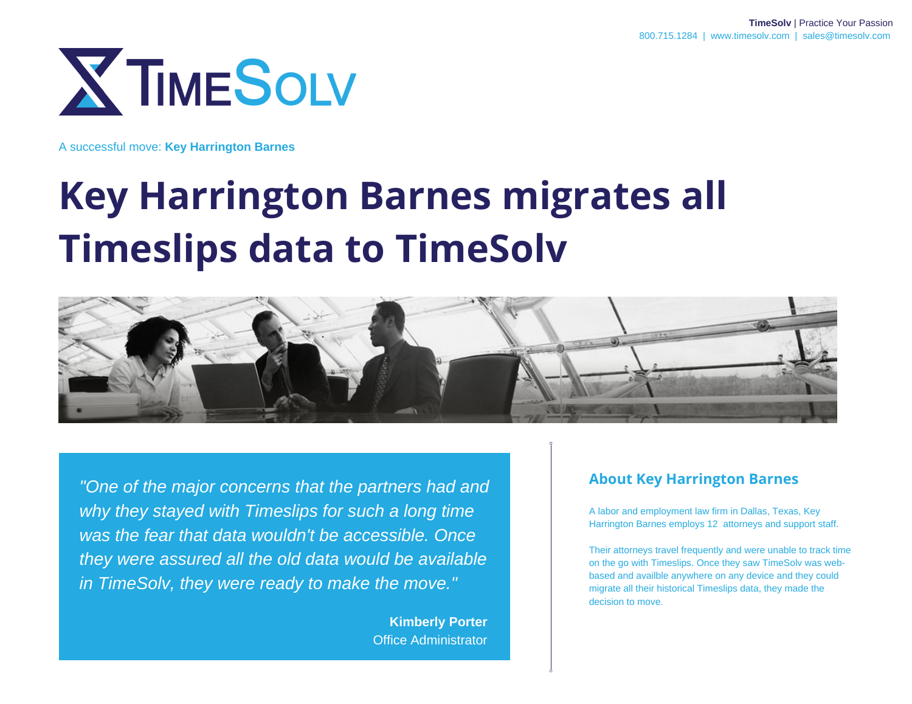

# **Key Harrington Barnes migrates all Timeslips data to TimeSolv**



*"One of the major concerns that the partners had and why they stayed with Timeslips for such a long time was the fear that data wouldn't be accessible. Once they were assured all the old data would be available in TimeSolv, they were ready to make the move."*

> **Kimberly Porter** Office Administrator

#### **About Key Harrington Barnes**

A labor and employment law firm in Dallas, Texas, Key Harrington Barnes employs 12 attorneys and support staff.

Their attorneys travel frequently and were unable to track time on the go with Timeslips. Once they saw TimeSolv was webbased and availble anywhere on any device and they could migrate all their historical Timeslips data, they made the decision to move.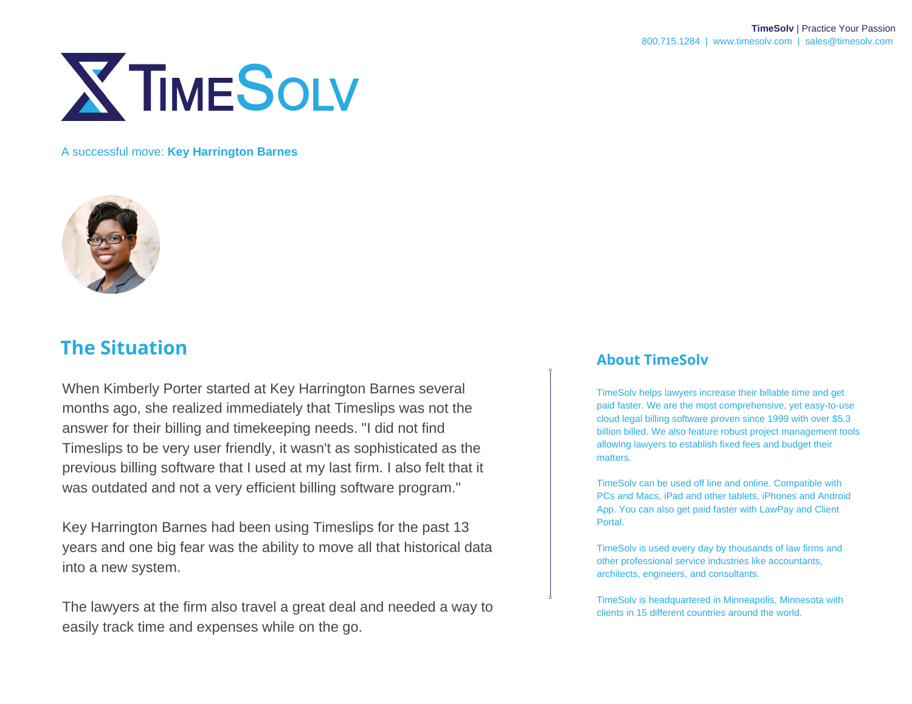



## **The Situation**

When Kimberly Porter started at Key Harrington Barnes several months ago, she realized immediately that Timeslips was not the answer for their billing and timekeeping needs. "I did not find Timeslips to be very user friendly, it wasn't as sophisticated as the previous billing software that I used at my last firm. I also felt that it was outdated and not a very efficient billing software program."

Key Harrington Barnes had been using Timeslips for the past 13 years and one big fear was the ability to move all that historical data into a new system.

The lawyers at the firm also travel a great deal and needed a way to easily track time and expenses while on the go.

#### **About TimeSolv**

TimeSolv helps lawyers increase their billable time and get paid faster. We are the most comprehensive, yet easy-to-use cloud legal billing software proven since 1999 with over \$5.3 billion billed. We also feature robust project management tools allowing lawyers to establish fixed fees and budget their matters.

TimeSolv can be used off line and online. Compatible with PCs and Macs, iPad and other tablets, iPhones and Android App. You can also get paid faster with LawPay and Client Portal.

TimeSolv is used every day by thousands of law firms and other professional service industries like accountants, architects, engineers, and consultants.

TimeSolv is headquartered in Minneapolis, Minnesota with clients in 15 different countries around the world.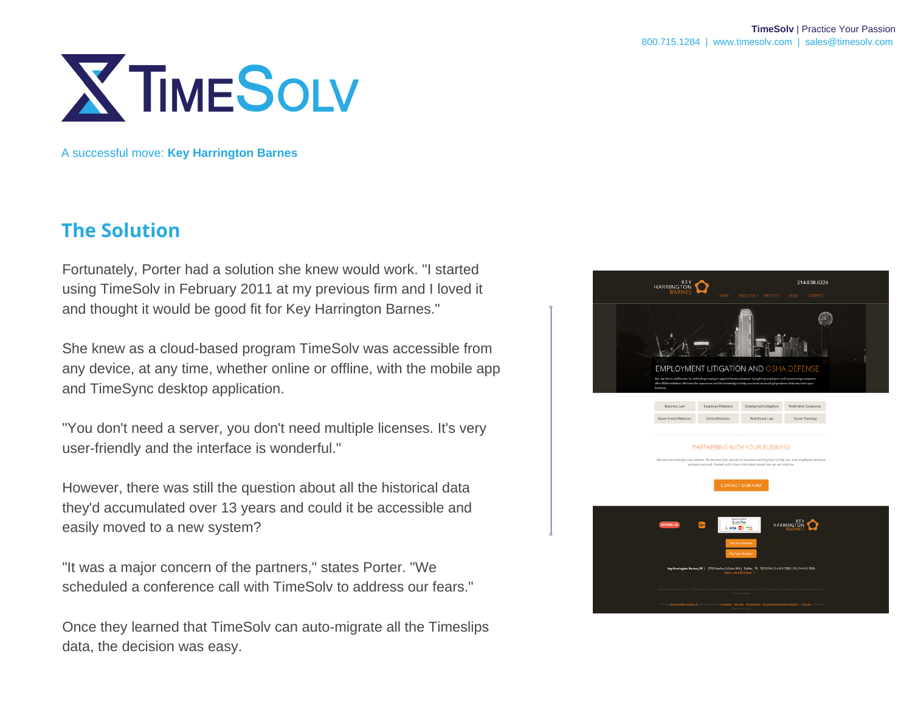

### **The Solution**

Fortunately, Porter had a solution she knew would work. "I started using TimeSolv in February 2011 at my previous firm and I loved it and thought it would be good fit for Key Harrington Barnes."

She knew as a cloud-based program TimeSolv was accessible from any device, at any time, whether online or offline, with the mobile app and TimeSync desktop application.

"You don't need a server, you don't need multiple licenses. It's very user-friendly and the interface is wonderful."

However, there was still the question about all the historical data they'd accumulated over 13 years and could it be accessible and easily moved to a new system?

"It was a major concern of the partners," states Porter. "We scheduled a conference call with TimeSolv to address our fears."

Once they learned that TimeSolv can auto-migrate all the Timeslips data, the decision was easy.

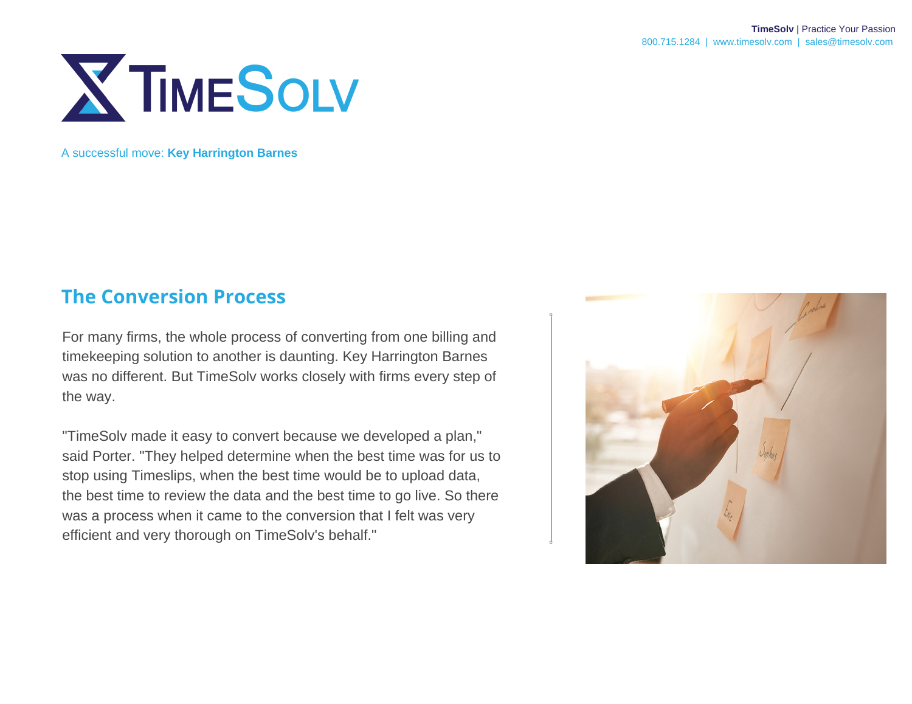

#### **The Conversion Process**

For many firms, the whole process of converting from one billing and timekeeping solution to another is daunting. Key Harrington Barnes was no different. But TimeSolv works closely with firms every step of the way.

"TimeSolv made it easy to convert because we developed a plan," said Porter. "They helped determine when the best time was for us to stop using Timeslips, when the best time would be to upload data, the best time to review the data and the best time to go live. So there was a process when it came to the conversion that I felt was very efficient and very thorough on TimeSolv's behalf."

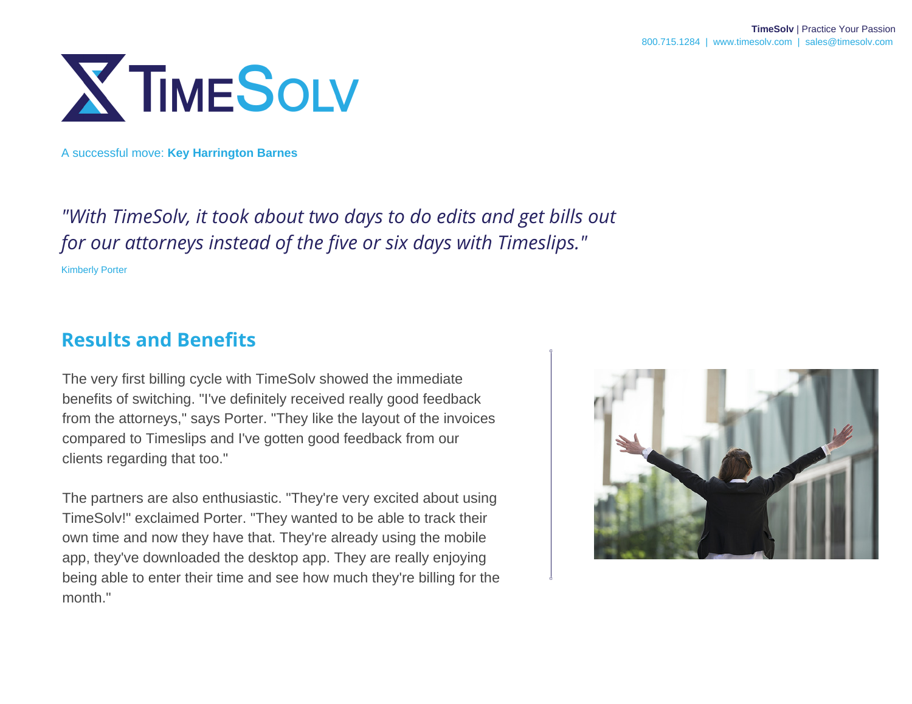

*"With TimeSolv, it took about two days to do edits and get bills out for our attorneys instead of the five or six days with Timeslips."* Kimberly Porter

## **Results and Benefits**

The very first billing cycle with TimeSolv showed the immediate benefits of switching. "I've definitely received really good feedback from the attorneys," says Porter. "They like the layout of the invoices compared to Timeslips and I've gotten good feedback from our clients regarding that too."

The partners are also enthusiastic. "They're very excited about using TimeSolv!" exclaimed Porter. "They wanted to be able to track their own time and now they have that. They're already using the mobile app, they've downloaded the desktop app. They are really enjoying being able to enter their time and see how much they're billing for the month."